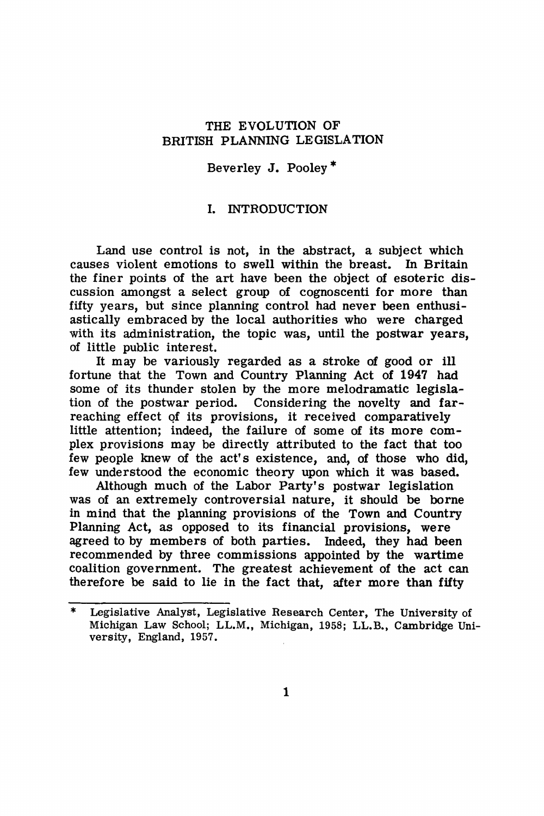## THE EVOLUTION OF BRITISH PLANNING LEGISLATION

## Beverley J. Pooley\*

## I. INTRODUCTION

Land use control is not, in the abstract, a subject which causes violent emotions to swell within the breast. In Britain the finer points of the art have been the object of esoteric discussion amongst a select group of cognoscenti for more than fifty years, but since planning control had never been enthusiastically embraced by the local authorities who were charged with its administration, the topic was, until the postwar years, of little public interest.

It may be variously regarded as a stroke of good or ill fortune that the Town and Country Planning Act of 1947 had some of its thunder stolen by the more melodramatic legislation of the postwar period. Considering the novelty and **far**reaching effect of its provisions, it received comparatively little attention; indeed, the failure of some of its more complex provisions may be directly attributed to the fact that too few people knew of the act's existence, and, of those who did, few understood the economic theory upon which it was based.

Although much of the Labor Party's postwar legislation was of an extremely controversial nature, it should be borne in mind that the planning provisions of the Town and Country Planning Act, as opposed to its financial provisions, were agreed to by members of both parties. Indeed, they had been recommended by three commissions appointed by the wartime coalition government. The greatest achievement of the act can therefore be said to lie in the fact that, after more than fifty

Legislative Analyst, Legislative Research Center, The University of Michigan Law School; LL.M,, Michigan, 1958; LL.B., Cambridge University, England, 1957.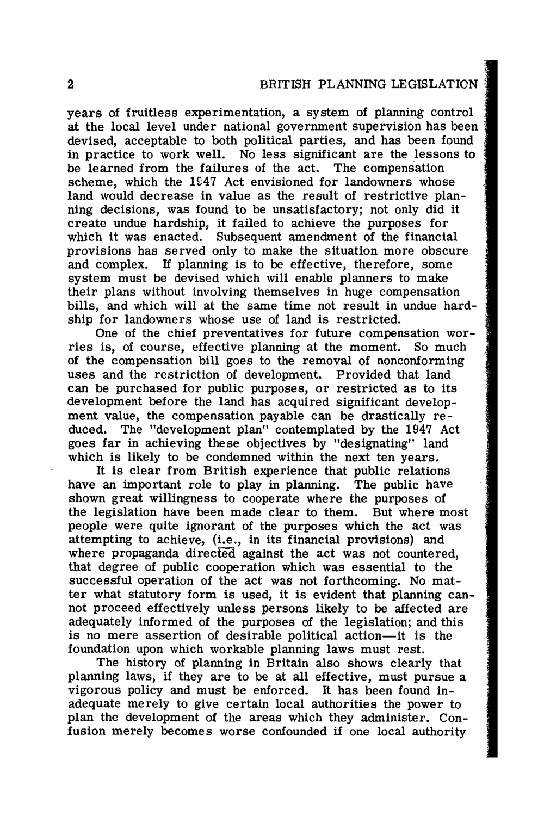years of fruitless experimentation, a system of planning control at the local level under national government supervision has been devised, acceptable to both political parties, and has been found in practice to work well. No less significant are the lessons to be learned from the failures of the act. The compensation be learned from the failures of the act. scheme, which the  $1947$  Act envisioned for landowners whose land would decrease in value as the result of restrictive planning decisions, was found to be unsatisfactory; not only did it create undue hardship, it failed to achieve the purposes for which it was enacted. Subsequent amendment of the financial provisions has served only to make the situation more obscure and complex. If planning is to be effective, therefore, some system must be devised which will enable planners to make their plans without involving themselves in huge compensation bills, and which will at the same time not result in undue hardship for landowners whose use of land is restricted.

One of the chief preventatives for future compensation worries is, of course, effective planning at the moment. So much of the compensation bill goes to the removal of nonconforming uses and the restriction of development. Provided that land can be purchased for public purposes, or restricted as to its development before the land has acquired significant development value, the compensation payable can be drastically reduced. The "development plan" contemplated by the 1947 Act goes far in achieving these objectives by "designating" land which is likely to be condemned within the next ten years.

It is clear from British experience that public relations have an important role to play in planning. The public have shown great willingness to cooperate where the purposes of the legislation have been made clear to them. But where most people were quite ignorant of the purposes which the act was attempting to achieve, (i.e., in its financial provisions) and where propaganda directed against the act was not countered, that degree of public cooperation which was essential to the successful operation of the act was not forthcoming. No matter what statutory form is used, it is evident that planning cannot proceed effectively unless persons likely to be affected are adequately informed of the purposes of the legislation; and this is no mere assertion of desirable political action-it is the foundation upon which workable planning laws must rest.

The history of planning in Britain also shows clearly that planning laws, if they are to be at all effective, must pursue a vigorous policy and must be enforced. It has been found inadequate merely to give certain local authorities the power to plan the development of the areas which they administer. Confusion merely becomes worse confounded if one local authority